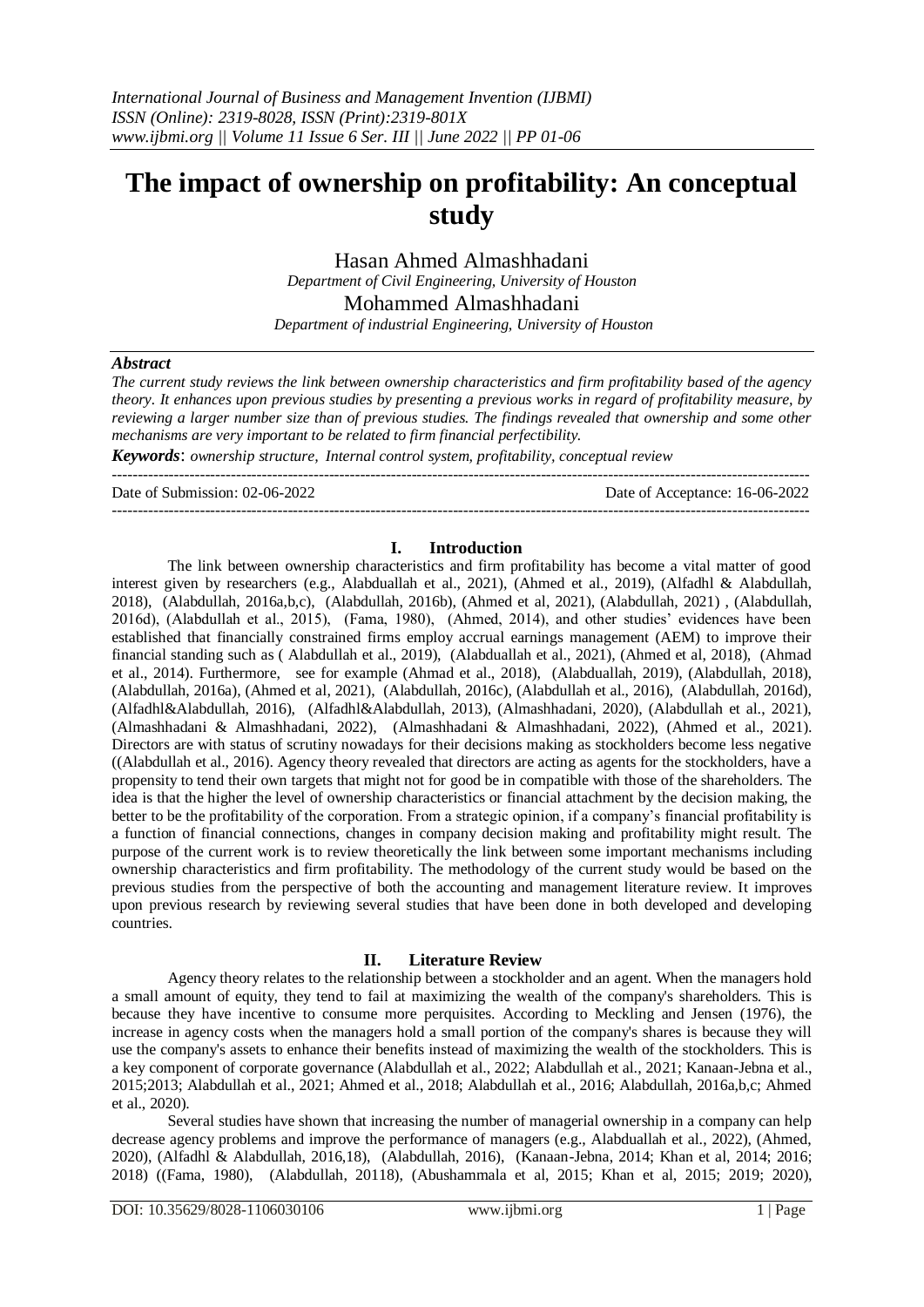# **The impact of ownership on profitability: An conceptual study**

Hasan Ahmed Almashhadani *Department of Civil Engineering, University of Houston*

Mohammed Almashhadani

*Department of industrial Engineering, University of Houston*

### *Abstract*

*The current study reviews the link between ownership characteristics and firm profitability based of the agency theory. It enhances upon previous studies by presenting a previous works in regard of profitability measure, by reviewing a larger number size than of previous studies. The findings revealed that ownership and some other mechanisms are very important to be related to firm financial perfectibility.*

*Keywords*: *ownership structure, Internal control system, profitability, conceptual review*  $-1\leq i\leq n-1$ 

Date of Submission: 02-06-2022 Date of Acceptance: 16-06-2022

### **I. Introduction**

---------------------------------------------------------------------------------------------------------------------------------------

The link between ownership characteristics and firm profitability has become a vital matter of good interest given by researchers (e.g., Alabduallah et al., 2021), (Ahmed et al., 2019), (Alfadhl & Alabdullah, 2018), (Alabdullah, 2016a,b,c), (Alabdullah, 2016b), (Ahmed et al, 2021), (Alabdullah, 2021) , (Alabdullah, 2016d), (Alabdullah et al., 2015), (Fama, 1980), (Ahmed, 2014), and other studies' evidences have been established that financially constrained firms employ accrual earnings management (AEM) to improve their financial standing such as ( Alabdullah et al., 2019), (Alabduallah et al., 2021), (Ahmed et al, 2018), (Ahmad et al., 2014). Furthermore, see for example (Ahmad et al., 2018), (Alabduallah, 2019), (Alabdullah, 2018), (Alabdullah, 2016a), (Ahmed et al, 2021), (Alabdullah, 2016c), (Alabdullah et al., 2016), (Alabdullah, 2016d), (Alfadhl&Alabdullah, 2016), (Alfadhl&Alabdullah, 2013), (Almashhadani, 2020), (Alabdullah et al., 2021), (Almashhadani & Almashhadani, 2022), (Almashhadani & Almashhadani, 2022), (Ahmed et al., 2021). Directors are with status of scrutiny nowadays for their decisions making as stockholders become less negative ((Alabdullah et al., 2016). Agency theory revealed that directors are acting as agents for the stockholders, have a propensity to tend their own targets that might not for good be in compatible with those of the shareholders. The idea is that the higher the level of ownership characteristics or financial attachment by the decision making, the better to be the profitability of the corporation. From a strategic opinion, if a company's financial profitability is a function of financial connections, changes in company decision making and profitability might result. The purpose of the current work is to review theoretically the link between some important mechanisms including ownership characteristics and firm profitability. The methodology of the current study would be based on the previous studies from the perspective of both the accounting and management literature review. It improves upon previous research by reviewing several studies that have been done in both developed and developing countries.

## **II. Literature Review**

Agency theory relates to the relationship between a stockholder and an agent. When the managers hold a small amount of equity, they tend to fail at maximizing the wealth of the company's shareholders. This is because they have incentive to consume more perquisites. According to Meckling and Jensen (1976), the increase in agency costs when the managers hold a small portion of the company's shares is because they will use the company's assets to enhance their benefits instead of maximizing the wealth of the stockholders. This is a key component of corporate governance (Alabdullah et al., 2022; Alabdullah et al., 2021; Kanaan-Jebna et al., 2015;2013; Alabdullah et al., 2021; Ahmed et al., 2018; Alabdullah et al., 2016; Alabdullah, 2016a,b,c; Ahmed et al., 2020).

Several studies have shown that increasing the number of managerial ownership in a company can help decrease agency problems and improve the performance of managers (e.g., Alabduallah et al., 2022), (Ahmed, 2020), (Alfadhl & Alabdullah, 2016,18), (Alabdullah, 2016), (Kanaan-Jebna, 2014; Khan et al, 2014; 2016; 2018) ((Fama, 1980), (Alabdullah, 20118), (Abushammala et al, 2015; Khan et al, 2015; 2019; 2020),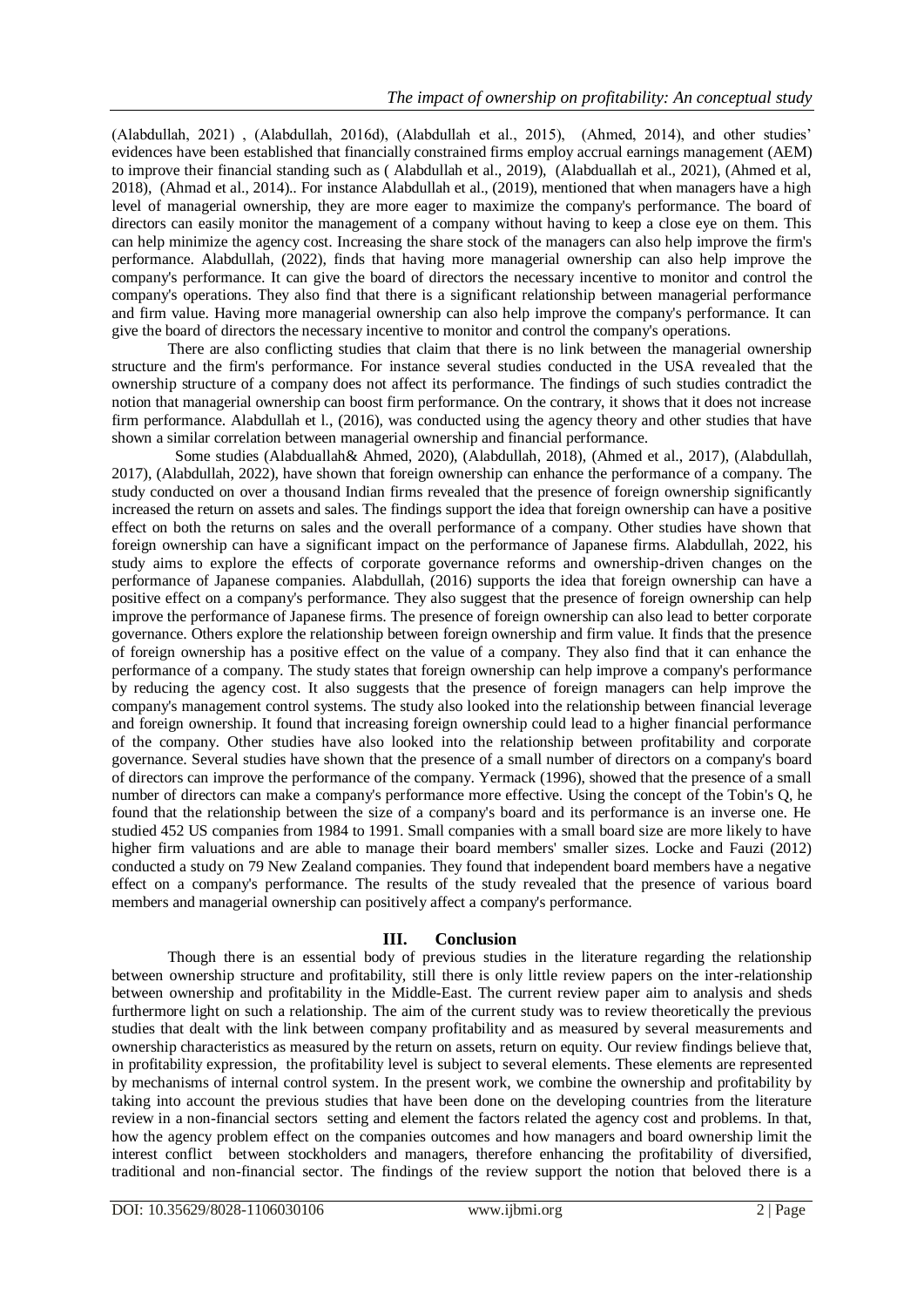(Alabdullah, 2021) , (Alabdullah, 2016d), (Alabdullah et al., 2015), (Ahmed, 2014), and other studies' evidences have been established that financially constrained firms employ accrual earnings management (AEM) to improve their financial standing such as ( Alabdullah et al., 2019), (Alabduallah et al., 2021), (Ahmed et al, 2018), (Ahmad et al., 2014).. For instance Alabdullah et al., (2019), mentioned that when managers have a high level of managerial ownership, they are more eager to maximize the company's performance. The board of directors can easily monitor the management of a company without having to keep a close eye on them. This can help minimize the agency cost. Increasing the share stock of the managers can also help improve the firm's performance. Alabdullah, (2022), finds that having more managerial ownership can also help improve the company's performance. It can give the board of directors the necessary incentive to monitor and control the company's operations. They also find that there is a significant relationship between managerial performance and firm value. Having more managerial ownership can also help improve the company's performance. It can give the board of directors the necessary incentive to monitor and control the company's operations.

There are also conflicting studies that claim that there is no link between the managerial ownership structure and the firm's performance. For instance several studies conducted in the USA revealed that the ownership structure of a company does not affect its performance. The findings of such studies contradict the notion that managerial ownership can boost firm performance. On the contrary, it shows that it does not increase firm performance. Alabdullah et l., (2016), was conducted using the agency theory and other studies that have shown a similar correlation between managerial ownership and financial performance.

 Some studies (Alabduallah& Ahmed, 2020), (Alabdullah, 2018), (Ahmed et al., 2017), (Alabdullah, 2017), (Alabdullah, 2022), have shown that foreign ownership can enhance the performance of a company. The study conducted on over a thousand Indian firms revealed that the presence of foreign ownership significantly increased the return on assets and sales. The findings support the idea that foreign ownership can have a positive effect on both the returns on sales and the overall performance of a company. Other studies have shown that foreign ownership can have a significant impact on the performance of Japanese firms. Alabdullah, 2022, his study aims to explore the effects of corporate governance reforms and ownership-driven changes on the performance of Japanese companies. Alabdullah, (2016) supports the idea that foreign ownership can have a positive effect on a company's performance. They also suggest that the presence of foreign ownership can help improve the performance of Japanese firms. The presence of foreign ownership can also lead to better corporate governance. Others explore the relationship between foreign ownership and firm value. It finds that the presence of foreign ownership has a positive effect on the value of a company. They also find that it can enhance the performance of a company. The study states that foreign ownership can help improve a company's performance by reducing the agency cost. It also suggests that the presence of foreign managers can help improve the company's management control systems. The study also looked into the relationship between financial leverage and foreign ownership. It found that increasing foreign ownership could lead to a higher financial performance of the company. Other studies have also looked into the relationship between profitability and corporate governance. Several studies have shown that the presence of a small number of directors on a company's board of directors can improve the performance of the company. Yermack (1996), showed that the presence of a small number of directors can make a company's performance more effective. Using the concept of the Tobin's Q, he found that the relationship between the size of a company's board and its performance is an inverse one. He studied 452 US companies from 1984 to 1991. Small companies with a small board size are more likely to have higher firm valuations and are able to manage their board members' smaller sizes. Locke and Fauzi (2012) conducted a study on 79 New Zealand companies. They found that independent board members have a negative effect on a company's performance. The results of the study revealed that the presence of various board members and managerial ownership can positively affect a company's performance.

# **III. Conclusion**

Though there is an essential body of previous studies in the literature regarding the relationship between ownership structure and profitability, still there is only little review papers on the inter-relationship between ownership and profitability in the Middle-East. The current review paper aim to analysis and sheds furthermore light on such a relationship. The aim of the current study was to review theoretically the previous studies that dealt with the link between company profitability and as measured by several measurements and ownership characteristics as measured by the return on assets, return on equity. Our review findings believe that, in profitability expression, the profitability level is subject to several elements. These elements are represented by mechanisms of internal control system. In the present work, we combine the ownership and profitability by taking into account the previous studies that have been done on the developing countries from the literature review in a non-financial sectors setting and element the factors related the agency cost and problems. In that, how the agency problem effect on the companies outcomes and how managers and board ownership limit the interest conflict between stockholders and managers, therefore enhancing the profitability of diversified, traditional and non-financial sector. The findings of the review support the notion that beloved there is a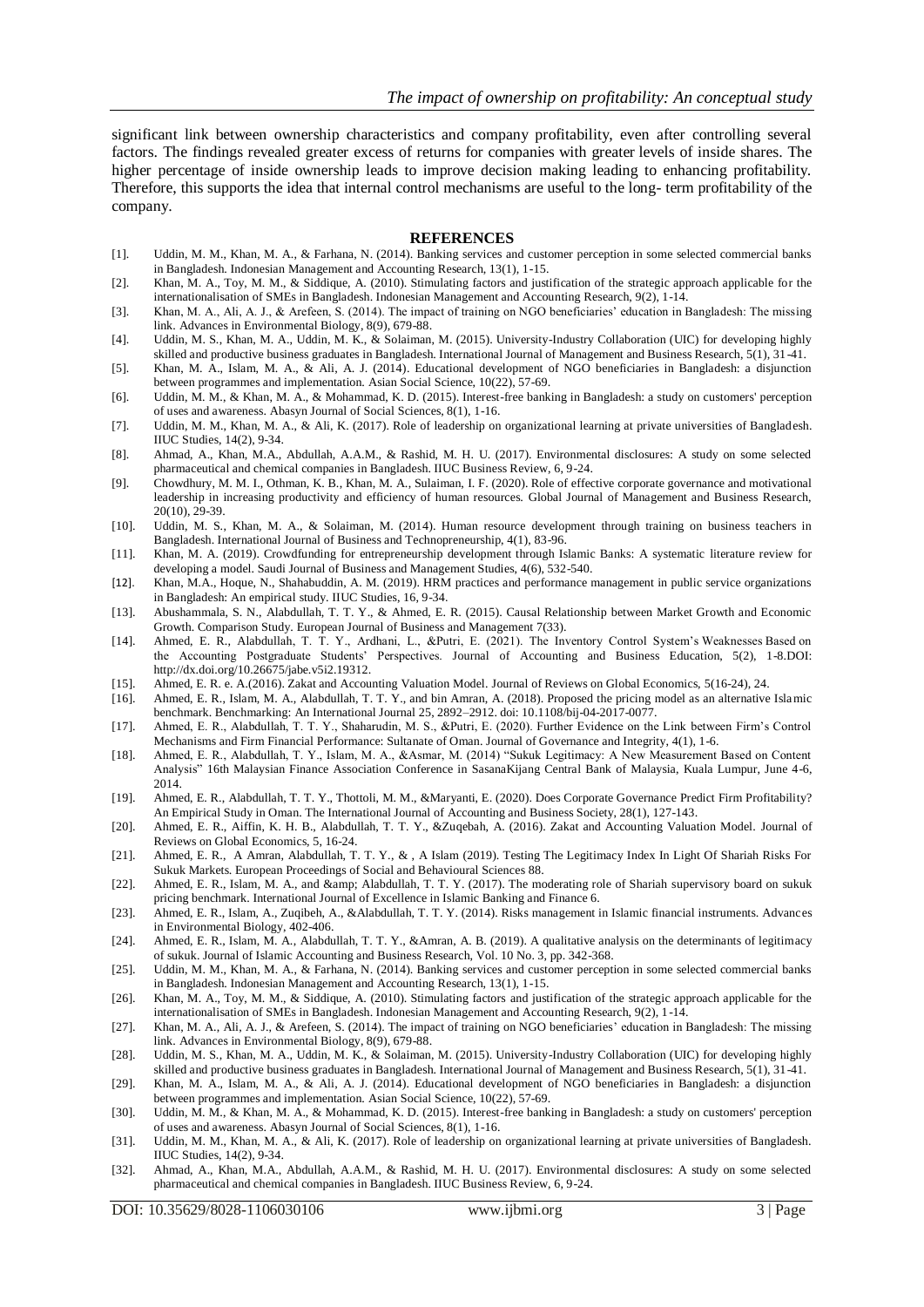significant link between ownership characteristics and company profitability, even after controlling several factors. The findings revealed greater excess of returns for companies with greater levels of inside shares. The higher percentage of inside ownership leads to improve decision making leading to enhancing profitability. Therefore, this supports the idea that internal control mechanisms are useful to the long- term profitability of the company.

#### **REFERENCES**

- [1]. Uddin, M. M., Khan, M. A., & Farhana, N. (2014). Banking services and customer perception in some selected commercial banks in Bangladesh. Indonesian Management and Accounting Research, 13(1), 1-15.
- [2]. Khan, M. A., Toy, M. M., & Siddique, A. (2010). Stimulating factors and justification of the strategic approach applicable for the internationalisation of SMEs in Bangladesh. Indonesian Management and Accounting Research, 9(2), 1-14.
- [3]. Khan, M. A., Ali, A. J., & Arefeen, S. (2014). The impact of training on NGO beneficiaries' education in Bangladesh: The missing link. Advances in Environmental Biology, 8(9), 679-88.
- [4]. Uddin, M. S., Khan, M. A., Uddin, M. K., & Solaiman, M. (2015). University-Industry Collaboration (UIC) for developing highly skilled and productive business graduates in Bangladesh. International Journal of Management and Business Research, 5(1), 31-41.
- [5]. Khan, M. A., Islam, M. A., & Ali, A. J. (2014). Educational development of NGO beneficiaries in Bangladesh: a disjunction between programmes and implementation. Asian Social Science, 10(22), 57-69.
- [6]. Uddin, M. M., & Khan, M. A., & Mohammad, K. D. (2015). Interest-free banking in Bangladesh: a study on customers' perception of uses and awareness. Abasyn Journal of Social Sciences, 8(1), 1-16.
- [7]. Uddin, M. M., Khan, M. A., & Ali, K. (2017). Role of leadership on organizational learning at private universities of Bangladesh. IIUC Studies, 14(2), 9-34.
- [8]. Ahmad, A., Khan, M.A., Abdullah, A.A.M., & Rashid, M. H. U. (2017). Environmental disclosures: A study on some selected pharmaceutical and chemical companies in Bangladesh. IIUC Business Review, 6, 9-24.
- [9]. Chowdhury, M. M. I., Othman, K. B., Khan, M. A., Sulaiman, I. F. (2020). Role of effective corporate governance and motivational leadership in increasing productivity and efficiency of human resources. Global Journal of Management and Business Research, 20(10), 29-39.
- [10]. Uddin, M. S., Khan, M. A., & Solaiman, M. (2014). Human resource development through training on business teachers in Bangladesh. International Journal of Business and Technopreneurship, 4(1), 83-96.
- [11]. Khan, M. A. (2019). Crowdfunding for entrepreneurship development through Islamic Banks: A systematic literature review for developing a model. Saudi Journal of Business and Management Studies, 4(6), 532-540.
- [12]. Khan, M.A., Hoque, N., Shahabuddin, A. M. (2019). HRM practices and performance management in public service organizations in Bangladesh: An empirical study. IIUC Studies, 16, 9-34.
- [13]. Abushammala, S. N., Alabdullah, T. T. Y., & Ahmed, E. R. (2015). Causal Relationship between Market Growth and Economic Growth. Comparison Study. European Journal of Business and Management 7(33).
- [14]. Ahmed, E. R., Alabdullah, T. T. Y., Ardhani, L., &Putri, E. (2021). The Inventory Control System's Weaknesses Based on the Accounting Postgraduate Students' Perspectives. Journal of Accounting and Business Education, 5(2), 1-8.DOI: http://dx.doi.org/10.26675/jabe.v5i2.19312.
- [15]. Ahmed, E. R. e. A.(2016). Zakat and Accounting Valuation Model. Journal of Reviews on Global Economics, 5(16-24), 24.
- [16]. Ahmed, E. R., Islam, M. A., Alabdullah, T. T. Y., and bin Amran, A. (2018). Proposed the pricing model as an alternative Islamic benchmark. Benchmarking: An International Journal 25, 2892–2912. doi: 10.1108/bij-04-2017-0077.
- [17]. Ahmed, E. R., Alabdullah, T. T. Y., Shaharudin, M. S., &Putri, E. (2020). Further Evidence on the Link between Firm's Control Mechanisms and Firm Financial Performance: Sultanate of Oman. Journal of Governance and Integrity, 4(1), 1-6.
- [18]. Ahmed, E. R., Alabdullah, T. Y., Islam, M. A., &Asmar, M. (2014) "Sukuk Legitimacy: A New Measurement Based on Content Analysis" 16th Malaysian Finance Association Conference in SasanaKijang Central Bank of Malaysia, Kuala Lumpur, June 4-6, 2014.
- [19]. Ahmed, E. R., Alabdullah, T. T. Y., Thottoli, M. M., &Maryanti, E. (2020). Does Corporate Governance Predict Firm Profitability? An Empirical Study in Oman. The International Journal of Accounting and Business Society, 28(1), 127-143.
- [20]. Ahmed, E. R., Aiffin, K. H. B., Alabdullah, T. T. Y., &Zuqebah, A. (2016). Zakat and Accounting Valuation Model. Journal of Reviews on Global Economics, 5, 16-24.
- [21]. Ahmed, E. R., A Amran, Alabdullah, T. T. Y., & , A Islam (2019). Testing The Legitimacy Index In Light Of Shariah Risks For Sukuk Markets. European Proceedings of Social and Behavioural Sciences 88.
- [22]. Ahmed, E. R., Islam, M. A., and & amp; Alabdullah, T. T. Y. (2017). The moderating role of Shariah supervisory board on sukuk pricing benchmark. International Journal of Excellence in Islamic Banking and Finance 6.
- [23]. Ahmed, E. R., Islam, A., Zuqibeh, A., &Alabdullah, T. T. Y. (2014). Risks management in Islamic financial instruments. Advances in Environmental Biology, 402-406.
- [24]. Ahmed, E. R., Islam, M. A., Alabdullah, T. T. Y., &Amran, A. B. (2019). A qualitative analysis on the determinants of legitimacy of sukuk. Journal of Islamic Accounting and Business Research, Vol. 10 No. 3, pp. 342-368.
- [25]. Uddin, M. M., Khan, M. A., & Farhana, N. (2014). Banking services and customer perception in some selected commercial banks in Bangladesh. Indonesian Management and Accounting Research, 13(1), 1-15.
- [26]. Khan, M. A., Toy, M. M., & Siddique, A. (2010). Stimulating factors and justification of the strategic approach applicable for the internationalisation of SMEs in Bangladesh. Indonesian Management and Accounting Research, 9(2), 1-14.
- [27]. Khan, M. A., Ali, A. J., & Arefeen, S. (2014). The impact of training on NGO beneficiaries' education in Bangladesh: The missing link. Advances in Environmental Biology, 8(9), 679-88.
- [28]. Uddin, M. S., Khan, M. A., Uddin, M. K., & Solaiman, M. (2015). University-Industry Collaboration (UIC) for developing highly skilled and productive business graduates in Bangladesh. International Journal of Management and Business Research, 5(1), 31-41.
- [29]. Khan, M. A., Islam, M. A., & Ali, A. J. (2014). Educational development of NGO beneficiaries in Bangladesh: a disjunction between programmes and implementation. Asian Social Science, 10(22), 57-69.
- [30]. Uddin, M. M., & Khan, M. A., & Mohammad, K. D. (2015). Interest-free banking in Bangladesh: a study on customers' perception of uses and awareness. Abasyn Journal of Social Sciences, 8(1), 1-16.
- [31]. Uddin, M. M., Khan, M. A., & Ali, K. (2017). Role of leadership on organizational learning at private universities of Bangladesh. IIUC Studies, 14(2), 9-34.
- [32]. Ahmad, A., Khan, M.A., Abdullah, A.A.M., & Rashid, M. H. U. (2017). Environmental disclosures: A study on some selected pharmaceutical and chemical companies in Bangladesh. IIUC Business Review, 6, 9-24.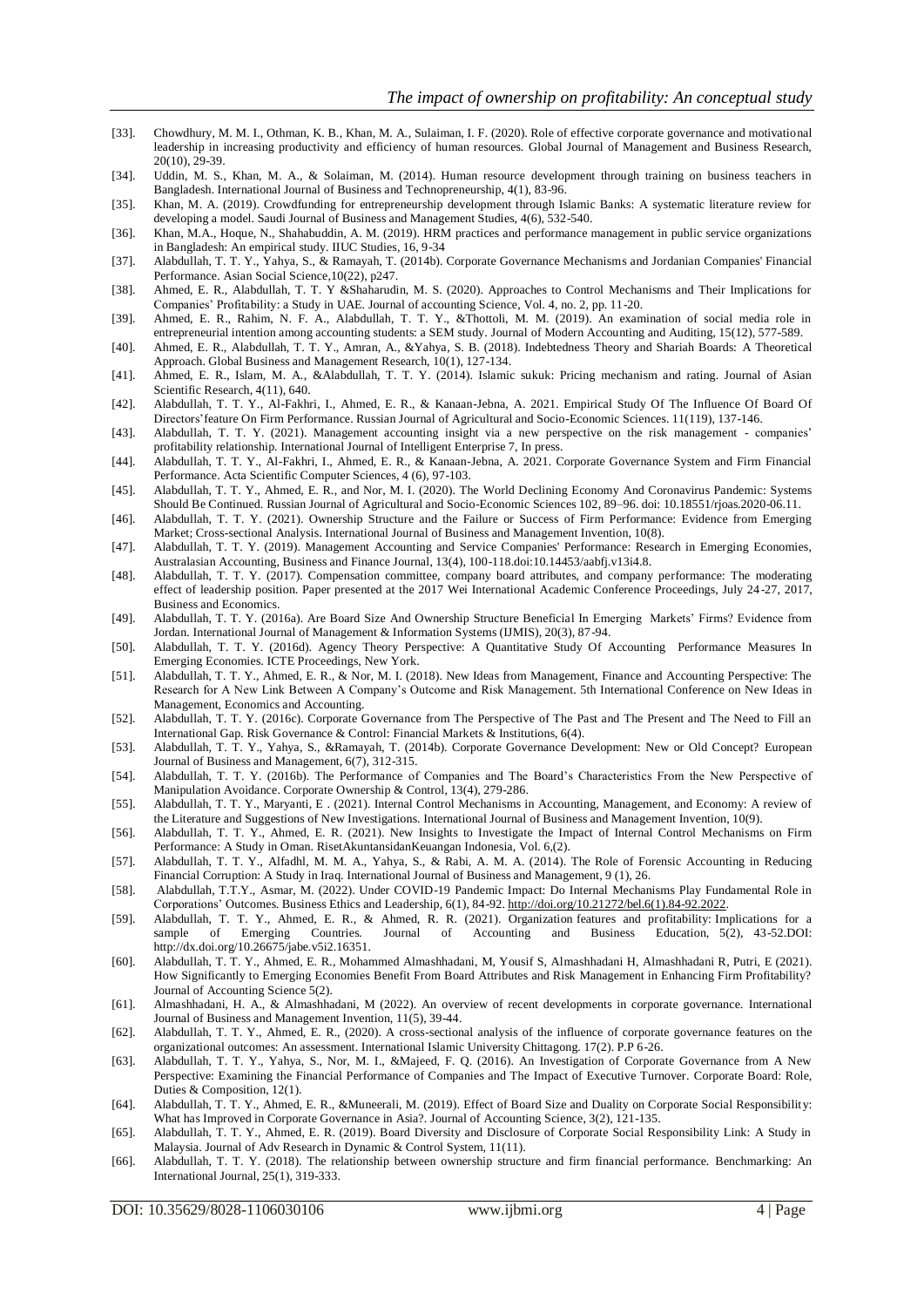- [33]. Chowdhury, M. M. I., Othman, K. B., Khan, M. A., Sulaiman, I. F. (2020). Role of effective corporate governance and motivational leadership in increasing productivity and efficiency of human resources. Global Journal of Management and Business Research, 20(10), 29-39.
- [34]. Uddin, M. S., Khan, M. A., & Solaiman, M. (2014). Human resource development through training on business teachers in Bangladesh. International Journal of Business and Technopreneurship, 4(1), 83-96.
- [35]. Khan, M. A. (2019). Crowdfunding for entrepreneurship development through Islamic Banks: A systematic literature review for developing a model. Saudi Journal of Business and Management Studies, 4(6), 532-540.
- [36]. Khan, M.A., Hoque, N., Shahabuddin, A. M. (2019). HRM practices and performance management in public service organizations in Bangladesh: An empirical study. IIUC Studies, 16, 9-34
- [37]. Alabdullah, T. T. Y., Yahya, S., & Ramayah, T. (2014b). Corporate Governance Mechanisms and Jordanian Companies' Financial Performance. Asian Social Science,10(22), p247.
- [38]. Ahmed, E. R., Alabdullah, T. T. Y &Shaharudin, M. S. (2020). Approaches to Control Mechanisms and Their Implications for Companies' Profitability: a Study in UAE. Journal of accounting Science, Vol. 4, no. 2, pp. 11-20.
- [39]. Ahmed, E. R., Rahim, N. F. A., Alabdullah, T. T. Y., &Thottoli, M. M. (2019). An examination of social media role in entrepreneurial intention among accounting students: a SEM study. Journal of Modern Accounting and Auditing, 15(12), 577-589.
- [40]. Ahmed, E. R., Alabdullah, T. T. Y., Amran, A., &Yahya, S. B. (2018). Indebtedness Theory and Shariah Boards: A Theoretical Approach. Global Business and Management Research, 10(1), 127-134.
- [41]. Ahmed, E. R., Islam, M. A., &Alabdullah, T. T. Y. (2014). Islamic sukuk: Pricing mechanism and rating. Journal of Asian Scientific Research, 4(11), 640.
- [42]. Alabdullah, T. T. Y., Al-Fakhri, I., Ahmed, E. R., & Kanaan-Jebna, A. 2021. Empirical Study Of The Influence Of Board Of Directors'feature On Firm Performance. Russian Journal of Agricultural and Socio-Economic Sciences. 11(119), 137-146.
- [43]. Alabdullah, T. T. Y. (2021). Management accounting insight via a new perspective on the risk management companies' profitability relationship. International Journal of Intelligent Enterprise 7, In press.
- [44]. Alabdullah, T. T. Y., Al-Fakhri, I., Ahmed, E. R., & Kanaan-Jebna, A. 2021. Corporate Governance System and Firm Financial Performance. Acta Scientific Computer Sciences, 4 (6), 97-103.
- [45]. Alabdullah, T. T. Y., Ahmed, E. R., and Nor, M. I. (2020). The World Declining Economy And Coronavirus Pandemic: Systems Should Be Continued. Russian Journal of Agricultural and Socio-Economic Sciences 102, 89–96. doi: 10.18551/rjoas.2020-06.11.
- [46]. Alabdullah, T. T. Y. (2021). Ownership Structure and the Failure or Success of Firm Performance: Evidence from Emerging Market; Cross-sectional Analysis. International Journal of Business and Management Invention, 10(8).
- [47]. Alabdullah, T. T. Y. (2019). Management Accounting and Service Companies' Performance: Research in Emerging Economies, Australasian Accounting, Business and Finance Journal, 13(4), 100-118.doi:10.14453/aabfj.v13i4.8.
- [48]. Alabdullah, T. T. Y. (2017). Compensation committee, company board attributes, and company performance: The moderating effect of leadership position. Paper presented at the 2017 Wei International Academic Conference Proceedings, July 24 -27, 2017, Business and Economics.
- [49]. Alabdullah, T. T. Y. (2016a). Are Board Size And Ownership Structure Beneficial In Emerging Markets' Firms? Evidence from Jordan. International Journal of Management & Information Systems (IJMIS), 20(3), 87-94.
- [50]. Alabdullah, T. T. Y. (2016d). Agency Theory Perspective: A Quantitative Study Of Accounting Performance Measures In Emerging Economies. ICTE Proceedings, New York.
- [51]. Alabdullah, T. T. Y., Ahmed, E. R., & Nor, M. I. (2018). New Ideas from Management, Finance and Accounting Perspective: The Research for A New Link Between A Company's Outcome and Risk Management. 5th International Conference on New Ideas in Management, Economics and Accounting.
- [52]. Alabdullah, T. T. Y. (2016c). Corporate Governance from The Perspective of The Past and The Present and The Need to Fill an International Gap. Risk Governance & Control: Financial Markets & Institutions, 6(4).
- [53]. Alabdullah, T. T. Y., Yahya, S., &Ramayah, T. (2014b). Corporate Governance Development: New or Old Concept? European Journal of Business and Management, 6(7), 312-315.
- [54]. Alabdullah, T. T. Y. (2016b). The Performance of Companies and The Board's Characteristics From the New Perspective of Manipulation Avoidance. Corporate Ownership & Control, 13(4), 279-286.
- [55]. Alabdullah, T. T. Y., Maryanti, E . (2021). Internal Control Mechanisms in Accounting, Management, and Economy: A review of the Literature and Suggestions of New Investigations. International Journal of Business and Management Invention, 10(9).
- [56]. Alabdullah, T. T. Y., Ahmed, E. R. (2021). New Insights to Investigate the Impact of Internal Control Mechanisms on Firm Performance: A Study in Oman. RisetAkuntansidanKeuangan Indonesia, Vol. 6,(2).
- [57]. Alabdullah, T. T. Y., Alfadhl, M. M. A., Yahya, S., & Rabi, A. M. A. (2014). The Role of Forensic Accounting in Reducing Financial Corruption: A Study in Iraq. International Journal of Business and Management, 9 (1), 26.
- [58]. Alabdullah, T.T.Y., Asmar, M. (2022). Under COVID-19 Pandemic Impact: Do Internal Mechanisms Play Fundamental Role in Corporations' Outcomes. Business Ethics and Leadership, 6(1), 84-92[. http://doi.org/10.21272/bel.6\(1\).84-92.2022.](http://doi.org/10.21272/bel.6(1).84-92.2022)
- [59]. Alabdullah, T. T. Y., Ahmed, E. R., & Ahmed, R. R. (2021). Organization features and profitability: Implications for a sample of Emerging Countries. Journal of Accounting and Business Education, 5(2), 43-52.DOI: http://dx.doi.org/10.26675/jabe.v5i2.16351.
- [60]. Alabdullah, T. T. Y., Ahmed, E. R., Mohammed Almashhadani, M, Yousif S, Almashhadani H, Almashhadani R, Putri, E (2021). How Significantly to Emerging Economies Benefit From Board Attributes and Risk Management in Enhancing Firm Profitability? Journal of Accounting Science 5(2).
- [61]. Almashhadani, H. A., & Almashhadani, M (2022). An overview of recent developments in corporate governance. International Journal of Business and Management Invention, 11(5), 39-44.
- [62]. Alabdullah, T. T. Y., Ahmed, E. R., (2020). A cross-sectional analysis of the influence of corporate governance features on the organizational outcomes: An assessment. International Islamic University Chittagong. 17(2). P.P 6-26.
- [63]. Alabdullah, T. T. Y., Yahya, S., Nor, M. I., &Majeed, F. Q. (2016). An Investigation of Corporate Governance from A New Perspective: Examining the Financial Performance of Companies and The Impact of Executive Turnover. Corporate Board: Role, Duties & Composition, 12(1).
- [64]. Alabdullah, T. T. Y., Ahmed, E. R., &Muneerali, M. (2019). Effect of Board Size and Duality on Corporate Social Responsibility: What has Improved in Corporate Governance in Asia?. Journal of Accounting Science, 3(2), 121-135.
- [65]. Alabdullah, T. T. Y., Ahmed, E. R. (2019). Board Diversity and Disclosure of Corporate Social Responsibility Link: A Study in Malaysia. Journal of Adv Research in Dynamic & Control System, 11(11).
- [66]. Alabdullah, T. T. Y. (2018). The relationship between ownership structure and firm financial performance. Benchmarking: An International Journal, 25(1), 319-333.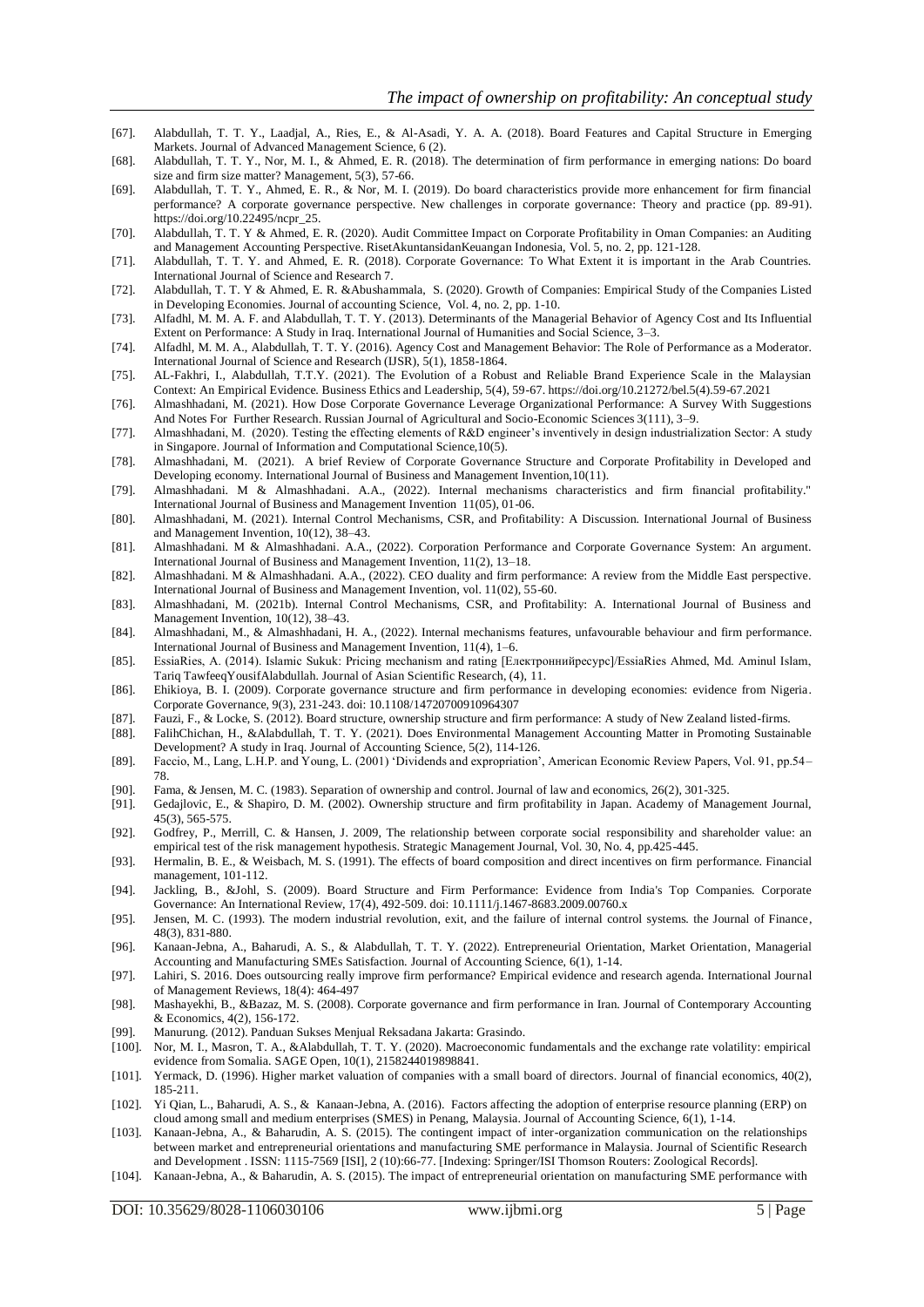- [67]. Alabdullah, T. T. Y., Laadjal, A., Ries, E., & Al-Asadi, Y. A. A. (2018). Board Features and Capital Structure in Emerging Markets. Journal of Advanced Management Science, 6 (2).
- [68]. Alabdullah, T. T. Y., Nor, M. I., & Ahmed, E. R. (2018). The determination of firm performance in emerging nations: Do board size and firm size matter? Management, 5(3), 57-66.
- [69]. Alabdullah, T. T. Y., Ahmed, E. R., & Nor, M. I. (2019). Do board characteristics provide more enhancement for firm financial performance? A corporate governance perspective. New challenges in corporate governance: Theory and practice (pp. 89-91). https://doi.org/10.22495/ncpr\_25.
- [70]. Alabdullah, T. T. Y & Ahmed, E. R. (2020). Audit Committee Impact on Corporate Profitability in Oman Companies: an Auditing and Management Accounting Perspective. RisetAkuntansidanKeuangan Indonesia, Vol. 5, no. 2, pp. 121-128.
- [71]. Alabdullah, T. T. Y. and Ahmed, E. R. (2018). Corporate Governance: To What Extent it is important in the Arab Countries. International Journal of Science and Research 7.
- [72]. Alabdullah, T. T. Y & Ahmed, E. R. &Abushammala, S. (2020). Growth of Companies: Empirical Study of the Companies Listed in Developing Economies. Journal of accounting Science, Vol. 4, no. 2, pp. 1-10.
- [73]. Alfadhl, M. M. A. F. and Alabdullah, T. T. Y. (2013). Determinants of the Managerial Behavior of Agency Cost and Its Influential Extent on Performance: A Study in Iraq. International Journal of Humanities and Social Science, 3–3.
- [74]. Alfadhl, M. M. A., Alabdullah, T. T. Y. (2016). Agency Cost and Management Behavior: The Role of Performance as a Moderator. International Journal of Science and Research (IJSR), 5(1), 1858-1864.
- [75]. AL-Fakhri, I., Alabdullah, T.T.Y. (2021). The Evolution of a Robust and Reliable Brand Experience Scale in the Malaysian Context: An Empirical Evidence. Business Ethics and Leadership, 5(4), 59-67. [https://doi.org/10.21272/bel.5\(4\).59-67.2021](https://doi.org/10.21272/bel.5(4).59-67.2021)
- [76]. Almashhadani, M. (2021). How Dose Corporate Governance Leverage Organizational Performance: A Survey With Suggestions And Notes For Further Research. Russian Journal of Agricultural and Socio-Economic Sciences 3(111), 3–9.
- [77]. Almashhadani, M. (2020). Testing the effecting elements of R&D engineer's inventively in design industrialization Sector: A study in Singapore. Journal of Information and Computational Science,10(5).
- [78]. Almashhadani, M. (2021). A brief Review of Corporate Governance Structure and Corporate Profitability in Developed and Developing economy. International Journal of Business and Management Invention,10(11).
- [79]. Almashhadani. M & Almashhadani. A.A., (2022). Internal mechanisms characteristics and firm financial profitability." International Journal of Business and Management Invention 11(05), 01-06.
- [80]. Almashhadani, M. (2021). Internal Control Mechanisms, CSR, and Profitability: A Discussion. International Journal of Business and Management Invention, 10(12), 38–43.
- [81]. Almashhadani. M & Almashhadani. A.A., (2022). Corporation Performance and Corporate Governance System: An argument. International Journal of Business and Management Invention, 11(2), 13–18.
- [82]. Almashhadani. M & Almashhadani. A.A., (2022). CEO duality and firm performance: A review from the Middle East perspective. International Journal of Business and Management Invention, vol. 11(02), 55-60.
- [83]. Almashhadani, M. (2021b). Internal Control Mechanisms, CSR, and Profitability: A. International Journal of Business and Management Invention, 10(12), 38–43.
- [84]. Almashhadani, M., & Almashhadani, H. A., (2022). Internal mechanisms features, unfavourable behaviour and firm performance. International Journal of Business and Management Invention, 11(4), 1–6.
- [85]. EssiaRies, A. (2014). Islamic Sukuk: Pricing mechanism and rating [Електроннийресурс]/EssiaRies Ahmed, Md. Aminul Islam, Tariq TawfeeqYousifAlabdullah. Journal of Asian Scientific Research, (4), 11.
- [86]. Ehikioya, B. I. (2009). Corporate governance structure and firm performance in developing economies: evidence from Nigeria. Corporate Governance, 9(3), 231-243. doi: 10.1108/14720700910964307
- [87]. Fauzi, F., & Locke, S. (2012). Board structure, ownership structure and firm performance: A study of New Zealand listed-firms.
- [88]. FalihChichan, H., &Alabdullah, T. T. Y. (2021). Does Environmental Management Accounting Matter in Promoting Sustainable Development? A study in Iraq. Journal of Accounting Science, 5(2), 114-126.
- [89]. Faccio, M., Lang, L.H.P. and Young, L. (2001) 'Dividends and expropriation', American Economic Review Papers, Vol. 91, pp.54– 78.
- [90]. Fama, & Jensen, M. C. (1983). Separation of ownership and control. Journal of law and economics, 26(2), 301-325.
- [91]. Gedajlovic, E., & Shapiro, D. M. (2002). Ownership structure and firm profitability in Japan. Academy of Management Journal, 45(3), 565-575.
- [92]. Godfrey, P., Merrill, C. & Hansen, J. 2009, The relationship between corporate social responsibility and shareholder value: an empirical test of the risk management hypothesis. Strategic Management Journal, Vol. 30, No. 4, pp.425-445.
- [93]. Hermalin, B. E., & Weisbach, M. S. (1991). The effects of board composition and direct incentives on firm performance. Financial management, 101-112.
- [94]. Jackling, B., &Johl, S. (2009). Board Structure and Firm Performance: Evidence from India's Top Companies. Corporate Governance: An International Review, 17(4), 492-509. doi: 10.1111/j.1467-8683.2009.00760.x
- [95]. Jensen, M. C. (1993). The modern industrial revolution, exit, and the failure of internal control systems. the Journal of Finance, 48(3), 831-880.
- [96]. Kanaan-Jebna, A., Baharudi, A. S., & Alabdullah, T. T. Y. (2022). Entrepreneurial Orientation, Market Orientation, Managerial Accounting and Manufacturing SMEs Satisfaction. Journal of Accounting Science, 6(1), 1-14.
- [97]. Lahiri, S. 2016. Does outsourcing really improve firm performance? Empirical evidence and research agenda. International Journal of Management Reviews, 18(4): 464-497
- [98]. Mashayekhi, B., &Bazaz, M. S. (2008). Corporate governance and firm performance in Iran. Journal of Contemporary Accounting & Economics, 4(2), 156-172.
- [99]. Manurung. (2012). Panduan Sukses Menjual Reksadana Jakarta: Grasindo.
- [100]. Nor, M. I., Masron, T. A., &Alabdullah, T. T. Y. (2020). Macroeconomic fundamentals and the exchange rate volatility: empirical evidence from Somalia. SAGE Open, 10(1), 2158244019898841.
- [101]. Yermack, D. (1996). Higher market valuation of companies with a small board of directors. Journal of financial economics, 40(2), 185-211.
- [102]. Yi Qian, L., Baharudi, A. S., & Kanaan-Jebna, A. (2016). Factors affecting the adoption of enterprise resource planning (ERP) on cloud among small and medium enterprises (SMES) in Penang, Malaysia. Journal of Accounting Science, 6(1), 1-14.
- [103]. Kanaan-Jebna, A., & Baharudin, A. S. (2015). The contingent impact of inter-organization communication on the relationships between market and entrepreneurial orientations and manufacturing SME performance in Malaysia. Journal of Scientific Research and Development . ISSN: 1115-7569 [ISI], 2 (10):66-77. [Indexing: Springer/ISI Thomson Routers: Zoological Records].
- [104]. Kanaan-Jebna, A., & Baharudin, A. S. (2015). The impact of entrepreneurial orientation on manufacturing SME performance with